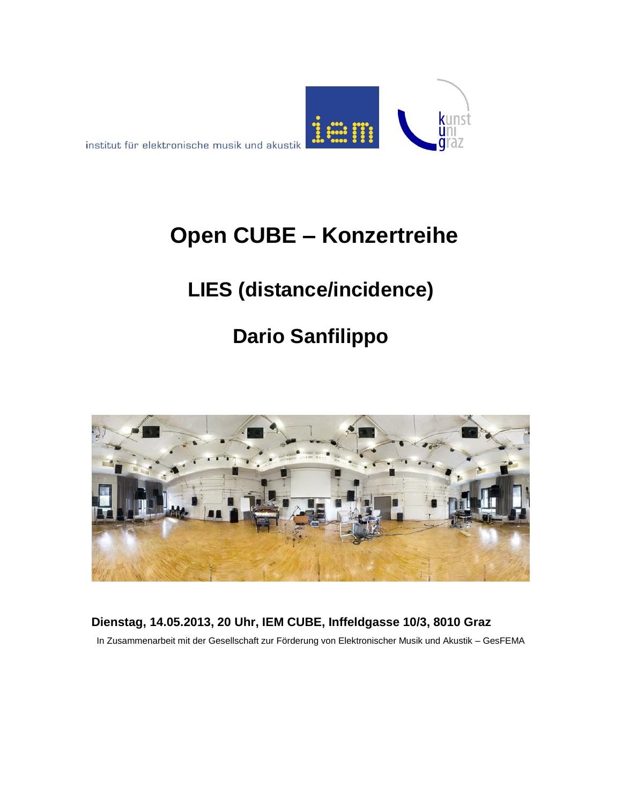

# **Open CUBE – Konzertreihe**

## **LIES (distance/incidence)**

# **Dario Sanfilippo**



### **Dienstag, 14.05.2013, 20 Uhr, IEM CUBE, Inffeldgasse 10/3, 8010 Graz**

In Zusammenarbeit mit der Gesellschaft zur Förderung von Elektronischer Musik und Akustik – GesFEMA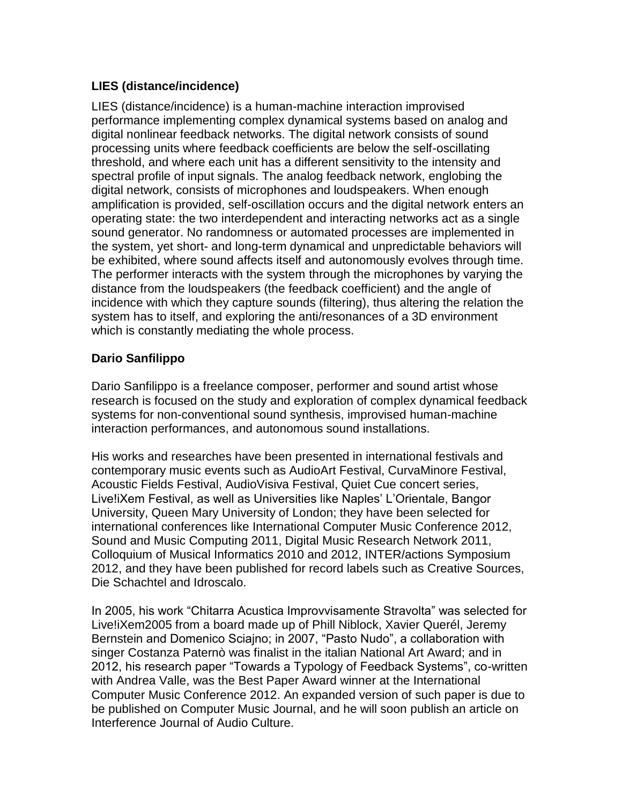#### **LIES (distance/incidence)**

LIES (distance/incidence) is a human-machine interaction improvised performance implementing complex dynamical systems based on analog and digital nonlinear feedback networks. The digital network consists of sound processing units where feedback coefficients are below the self-oscillating threshold, and where each unit has a different sensitivity to the intensity and spectral profile of input signals. The analog feedback network, englobing the digital network, consists of microphones and loudspeakers. When enough amplification is provided, self-oscillation occurs and the digital network enters an operating state: the two interdependent and interacting networks act as a single sound generator. No randomness or automated processes are implemented in the system, yet short- and long-term dynamical and unpredictable behaviors will be exhibited, where sound affects itself and autonomously evolves through time. The performer interacts with the system through the microphones by varying the distance from the loudspeakers (the feedback coefficient) and the angle of incidence with which they capture sounds (filtering), thus altering the relation the system has to itself, and exploring the anti/resonances of a 3D environment which is constantly mediating the whole process.

### **Dario Sanfilippo**

Dario Sanfilippo is a freelance composer, performer and sound artist whose research is focused on the study and exploration of complex dynamical feedback systems for non-conventional sound synthesis, improvised human-machine interaction performances, and autonomous sound installations.

His works and researches have been presented in international festivals and contemporary music events such as AudioArt Festival, CurvaMinore Festival, Acoustic Fields Festival, AudioVisiva Festival, Quiet Cue concert series, Live!iXem Festival, as well as Universities like Naples' L'Orientale, Bangor University, Queen Mary University of London; they have been selected for international conferences like International Computer Music Conference 2012, Sound and Music Computing 2011, Digital Music Research Network 2011, Colloquium of Musical Informatics 2010 and 2012, INTER/actions Symposium 2012, and they have been published for record labels such as Creative Sources, Die Schachtel and Idroscalo.

In 2005, his work "Chitarra Acustica Improvvisamente Stravolta" was selected for Live!iXem2005 from a board made up of Phill Niblock, Xavier Querél, Jeremy Bernstein and Domenico Sciajno; in 2007, "Pasto Nudo", a collaboration with singer Costanza Paternò was finalist in the italian National Art Award; and in 2012, his research paper "Towards a Typology of Feedback Systems", co-written with Andrea Valle, was the Best Paper Award winner at the International Computer Music Conference 2012. An expanded version of such paper is due to be published on Computer Music Journal, and he will soon publish an article on Interference Journal of Audio Culture.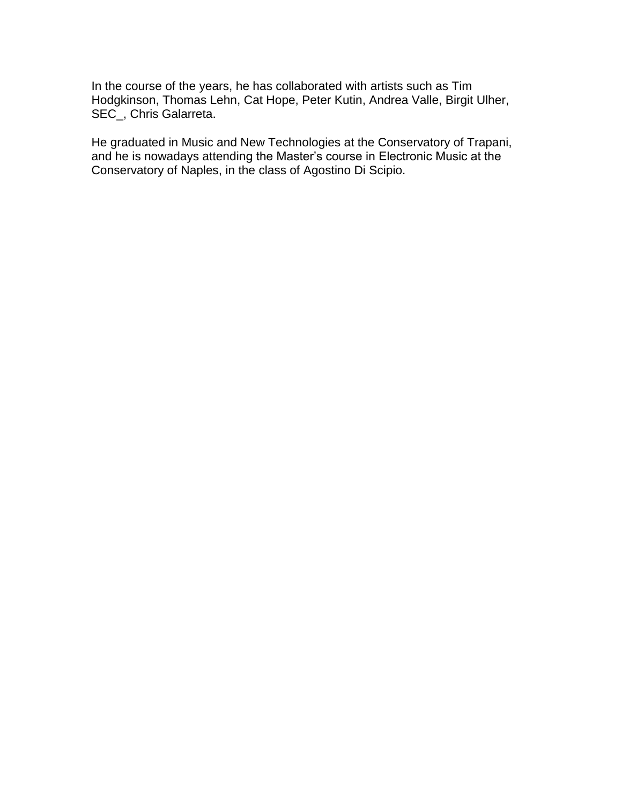In the course of the years, he has collaborated with artists such as Tim Hodgkinson, Thomas Lehn, Cat Hope, Peter Kutin, Andrea Valle, Birgit Ulher, SEC\_, Chris Galarreta.

He graduated in Music and New Technologies at the Conservatory of Trapani, and he is nowadays attending the Master's course in Electronic Music at the Conservatory of Naples, in the class of Agostino Di Scipio.